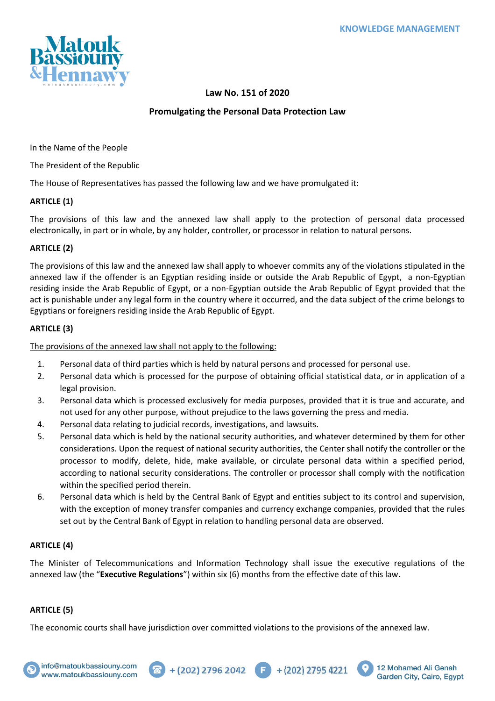

## **Law No. 151 of 2020**

## **Promulgating the Personal Data Protection Law**

In the Name of the People

The President of the Republic

The House of Representatives has passed the following law and we have promulgated it:

## **ARTICLE (1)**

The provisions of this law and the annexed law shall apply to the protection of personal data processed electronically, in part or in whole, by any holder, controller, or processor in relation to natural persons.

## **ARTICLE (2)**

The provisions of this law and the annexed law shall apply to whoever commits any of the violations stipulated in the annexed law if the offender is an Egyptian residing inside or outside the Arab Republic of Egypt, a non-Egyptian residing inside the Arab Republic of Egypt, or a non-Egyptian outside the Arab Republic of Egypt provided that the act is punishable under any legal form in the country where it occurred, and the data subject of the crime belongs to Egyptians or foreigners residing inside the Arab Republic of Egypt.

## **ARTICLE (3)**

The provisions of the annexed law shall not apply to the following:

- 1. Personal data of third parties which is held by natural persons and processed for personal use.
- 2. Personal data which is processed for the purpose of obtaining official statistical data, or in application of a legal provision.
- 3. Personal data which is processed exclusively for media purposes, provided that it is true and accurate, and not used for any other purpose, without prejudice to the laws governing the press and media.
- 4. Personal data relating to judicial records, investigations, and lawsuits.
- 5. Personal data which is held by the national security authorities, and whatever determined by them for other considerations. Upon the request of national security authorities, the Center shall notify the controller or the processor to modify, delete, hide, make available, or circulate personal data within a specified period, according to national security considerations. The controller or processor shall comply with the notification within the specified period therein.
- 6. Personal data which is held by the Central Bank of Egypt and entities subject to its control and supervision, with the exception of money transfer companies and currency exchange companies, provided that the rules set out by the Central Bank of Egypt in relation to handling personal data are observed.

## **ARTICLE (4)**

The Minister of Telecommunications and Information Technology shall issue the executive regulations of the annexed law (the "**Executive Regulations**") within six (6) months from the effective date of this law.

 $+(202)$  2796 2042  $\qquad \qquad$   $+$  (202) 2795 4221

## **ARTICLE (5)**

The economic courts shall have jurisdiction over committed violations to the provisions of the annexed law.



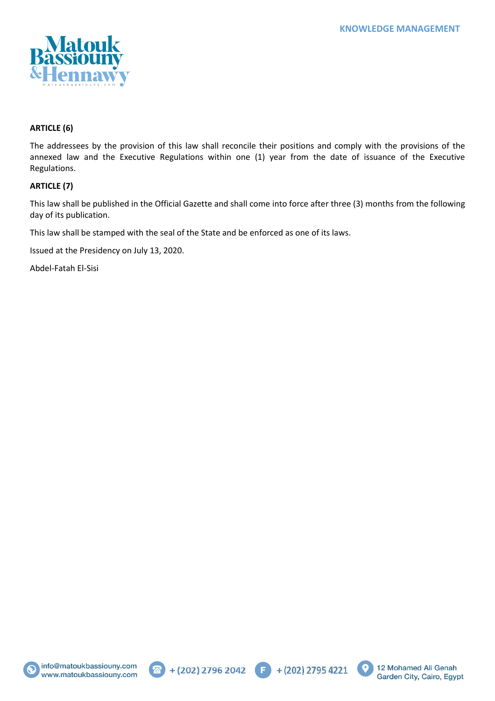

## **ARTICLE (6)**

The addressees by the provision of this law shall reconcile their positions and comply with the provisions of the annexed law and the Executive Regulations within one (1) year from the date of issuance of the Executive Regulations.

### **ARTICLE (7)**

This law shall be published in the Official Gazette and shall come into force after three (3) months from the following day of its publication.

This law shall be stamped with the seal of the State and be enforced as one of its laws.

Issued at the Presidency on July 13, 2020.

Abdel-Fatah El-Sisi







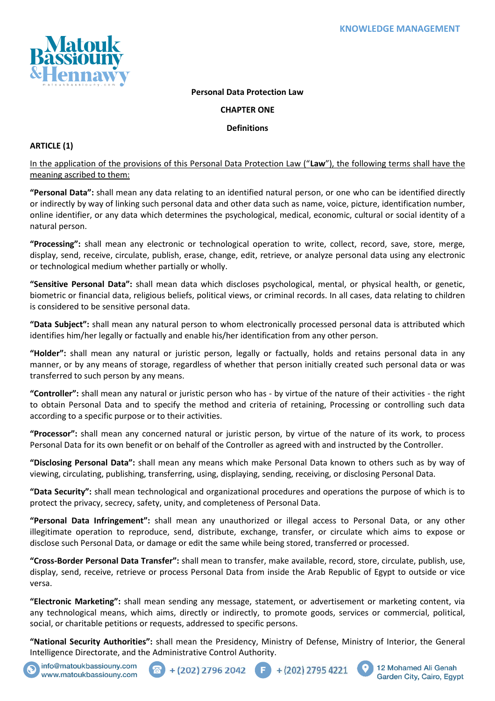

## **Personal Data Protection Law**

### **CHAPTER ONE**

### **Definitions**

## **ARTICLE (1)**

In the application of the provisions of this Personal Data Protection Law ("**Law**"), the following terms shall have the meaning ascribed to them:

**"Personal Data":** shall mean any data relating to an identified natural person, or one who can be identified directly or indirectly by way of linking such personal data and other data such as name, voice, picture, identification number, online identifier, or any data which determines the psychological, medical, economic, cultural or social identity of a natural person.

**"Processing":** shall mean any electronic or technological operation to write, collect, record, save, store, merge, display, send, receive, circulate, publish, erase, change, edit, retrieve, or analyze personal data using any electronic or technological medium whether partially or wholly.

**"Sensitive Personal Data":** shall mean data which discloses psychological, mental, or physical health, or genetic, biometric or financial data, religious beliefs, political views, or criminal records. In all cases, data relating to children is considered to be sensitive personal data.

**"Data Subject":** shall mean any natural person to whom electronically processed personal data is attributed which identifies him/her legally or factually and enable his/her identification from any other person.

**"Holder":** shall mean any natural or juristic person, legally or factually, holds and retains personal data in any manner, or by any means of storage, regardless of whether that person initially created such personal data or was transferred to such person by any means.

**"Controller":** shall mean any natural or juristic person who has - by virtue of the nature of their activities - the right to obtain Personal Data and to specify the method and criteria of retaining, Processing or controlling such data according to a specific purpose or to their activities.

**"Processor":** shall mean any concerned natural or juristic person, by virtue of the nature of its work, to process Personal Data for its own benefit or on behalf of the Controller as agreed with and instructed by the Controller.

**"Disclosing Personal Data":** shall mean any means which make Personal Data known to others such as by way of viewing, circulating, publishing, transferring, using, displaying, sending, receiving, or disclosing Personal Data.

**"Data Security":** shall mean technological and organizational procedures and operations the purpose of which is to protect the privacy, secrecy, safety, unity, and completeness of Personal Data.

**"Personal Data Infringement":** shall mean any unauthorized or illegal access to Personal Data, or any other illegitimate operation to reproduce, send, distribute, exchange, transfer, or circulate which aims to expose or disclose such Personal Data, or damage or edit the same while being stored, transferred or processed.

**"Cross-Border Personal Data Transfer":** shall mean to transfer, make available, record, store, circulate, publish, use, display, send, receive, retrieve or process Personal Data from inside the Arab Republic of Egypt to outside or vice versa.

**"Electronic Marketing":** shall mean sending any message, statement, or advertisement or marketing content, via any technological means, which aims, directly or indirectly, to promote goods, services or commercial, political, social, or charitable petitions or requests, addressed to specific persons.

**"National Security Authorities":** shall mean the Presidency, Ministry of Defense, Ministry of Interior, the General Intelligence Directorate, and the Administrative Control Authority.



info@matoukbassiouny.com www.matoukbassiouny.com





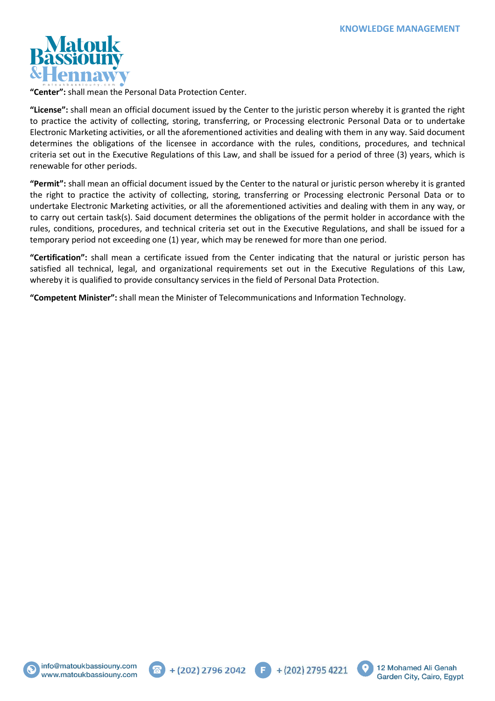

**"Center":** shall mean the Personal Data Protection Center.

**"License":** shall mean an official document issued by the Center to the juristic person whereby it is granted the right to practice the activity of collecting, storing, transferring, or Processing electronic Personal Data or to undertake Electronic Marketing activities, or all the aforementioned activities and dealing with them in any way. Said document determines the obligations of the licensee in accordance with the rules, conditions, procedures, and technical criteria set out in the Executive Regulations of this Law, and shall be issued for a period of three (3) years, which is renewable for other periods.

**"Permit":** shall mean an official document issued by the Center to the natural or juristic person whereby it is granted the right to practice the activity of collecting, storing, transferring or Processing electronic Personal Data or to undertake Electronic Marketing activities, or all the aforementioned activities and dealing with them in any way, or to carry out certain task(s). Said document determines the obligations of the permit holder in accordance with the rules, conditions, procedures, and technical criteria set out in the Executive Regulations, and shall be issued for a temporary period not exceeding one (1) year, which may be renewed for more than one period.

**"Certification":** shall mean a certificate issued from the Center indicating that the natural or juristic person has satisfied all technical, legal, and organizational requirements set out in the Executive Regulations of this Law, whereby it is qualified to provide consultancy services in the field of Personal Data Protection.

**"Competent Minister":** shall mean the Minister of Telecommunications and Information Technology.







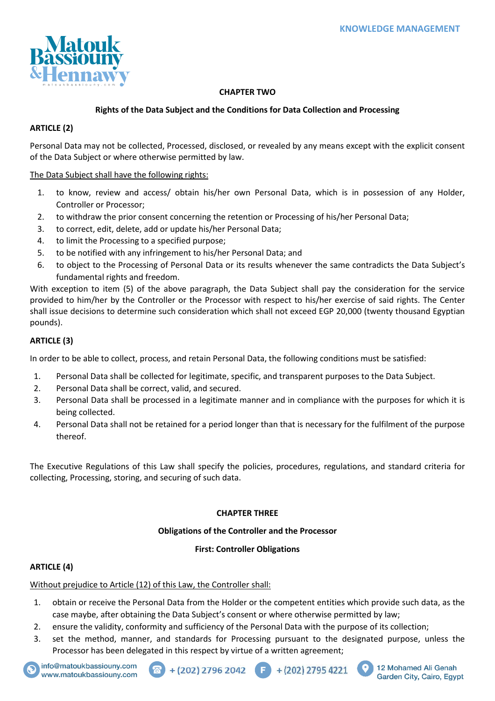

## **CHAPTER TWO**

## **Rights of the Data Subject and the Conditions for Data Collection and Processing**

## **ARTICLE (2)**

Personal Data may not be collected, Processed, disclosed, or revealed by any means except with the explicit consent of the Data Subject or where otherwise permitted by law.

## The Data Subject shall have the following rights:

- 1. to know, review and access/ obtain his/her own Personal Data, which is in possession of any Holder, Controller or Processor;
- 2. to withdraw the prior consent concerning the retention or Processing of his/her Personal Data;
- 3. to correct, edit, delete, add or update his/her Personal Data;
- 4. to limit the Processing to a specified purpose;
- 5. to be notified with any infringement to his/her Personal Data; and
- 6. to object to the Processing of Personal Data or its results whenever the same contradicts the Data Subject's fundamental rights and freedom.

With exception to item (5) of the above paragraph, the Data Subject shall pay the consideration for the service provided to him/her by the Controller or the Processor with respect to his/her exercise of said rights. The Center shall issue decisions to determine such consideration which shall not exceed EGP 20,000 (twenty thousand Egyptian pounds).

## **ARTICLE (3)**

In order to be able to collect, process, and retain Personal Data, the following conditions must be satisfied:

- 1. Personal Data shall be collected for legitimate, specific, and transparent purposes to the Data Subject.
- 2. Personal Data shall be correct, valid, and secured.
- 3. Personal Data shall be processed in a legitimate manner and in compliance with the purposes for which it is being collected.
- 4. Personal Data shall not be retained for a period longer than that is necessary for the fulfilment of the purpose thereof.

The Executive Regulations of this Law shall specify the policies, procedures, regulations, and standard criteria for collecting, Processing, storing, and securing of such data.

## **CHAPTER THREE**

## **Obligations of the Controller and the Processor**

### **First: Controller Obligations**

## **ARTICLE (4)**

# Without prejudice to Article (12) of this Law, the Controller shall:

- 1. obtain or receive the Personal Data from the Holder or the competent entities which provide such data, as the case maybe, after obtaining the Data Subject's consent or where otherwise permitted by law;
- 2. ensure the validity, conformity and sufficiency of the Personal Data with the purpose of its collection;
- 3. set the method, manner, and standards for Processing pursuant to the designated purpose, unless the Processor has been delegated in this respect by virtue of a written agreement;









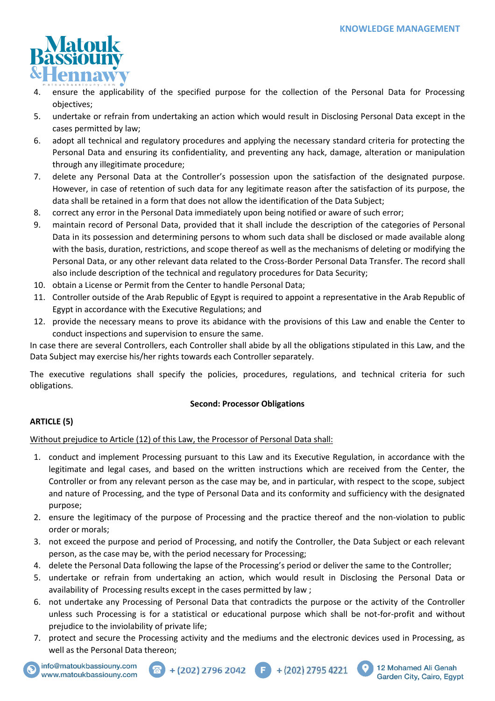12 Mohamed Ali Genah

Garden City, Cairo, Egypt



- 4. ensure the applicability of the specified purpose for the collection of the Personal Data for Processing objectives;
- 5. undertake or refrain from undertaking an action which would result in Disclosing Personal Data except in the cases permitted by law;
- 6. adopt all technical and regulatory procedures and applying the necessary standard criteria for protecting the Personal Data and ensuring its confidentiality, and preventing any hack, damage, alteration or manipulation through any illegitimate procedure;
- 7. delete any Personal Data at the Controller's possession upon the satisfaction of the designated purpose. However, in case of retention of such data for any legitimate reason after the satisfaction of its purpose, the data shall be retained in a form that does not allow the identification of the Data Subject;
- 8. correct any error in the Personal Data immediately upon being notified or aware of such error;
- 9. maintain record of Personal Data, provided that it shall include the description of the categories of Personal Data in its possession and determining persons to whom such data shall be disclosed or made available along with the basis, duration, restrictions, and scope thereof as well as the mechanisms of deleting or modifying the Personal Data, or any other relevant data related to the Cross-Border Personal Data Transfer. The record shall also include description of the technical and regulatory procedures for Data Security;
- 10. obtain a License or Permit from the Center to handle Personal Data;
- 11. Controller outside of the Arab Republic of Egypt is required to appoint a representative in the Arab Republic of Egypt in accordance with the Executive Regulations; and
- 12. provide the necessary means to prove its abidance with the provisions of this Law and enable the Center to conduct inspections and supervision to ensure the same.

In case there are several Controllers, each Controller shall abide by all the obligations stipulated in this Law, and the Data Subject may exercise his/her rights towards each Controller separately.

The executive regulations shall specify the policies, procedures, regulations, and technical criteria for such obligations.

## **Second: Processor Obligations**

## **ARTICLE (5)**

Without prejudice to Article (12) of this Law, the Processor of Personal Data shall:

- 1. conduct and implement Processing pursuant to this Law and its Executive Regulation, in accordance with the legitimate and legal cases, and based on the written instructions which are received from the Center, the Controller or from any relevant person as the case may be, and in particular, with respect to the scope, subject and nature of Processing, and the type of Personal Data and its conformity and sufficiency with the designated purpose;
- 2. ensure the legitimacy of the purpose of Processing and the practice thereof and the non-violation to public order or morals;
- 3. not exceed the purpose and period of Processing, and notify the Controller, the Data Subject or each relevant person, as the case may be, with the period necessary for Processing;
- 4. delete the Personal Data following the lapse of the Processing's period or deliver the same to the Controller;
- 5. undertake or refrain from undertaking an action, which would result in Disclosing the Personal Data or availability of Processing results except in the cases permitted by law ;
- 6. not undertake any Processing of Personal Data that contradicts the purpose or the activity of the Controller unless such Processing is for a statistical or educational purpose which shall be not-for-profit and without prejudice to the inviolability of private life;
- 7. protect and secure the Processing activity and the mediums and the electronic devices used in Processing, as well as the Personal Data thereon;

 $+(202)$  2796 2042  $\qquad \qquad$   $+$   $(202)$  2795 4221



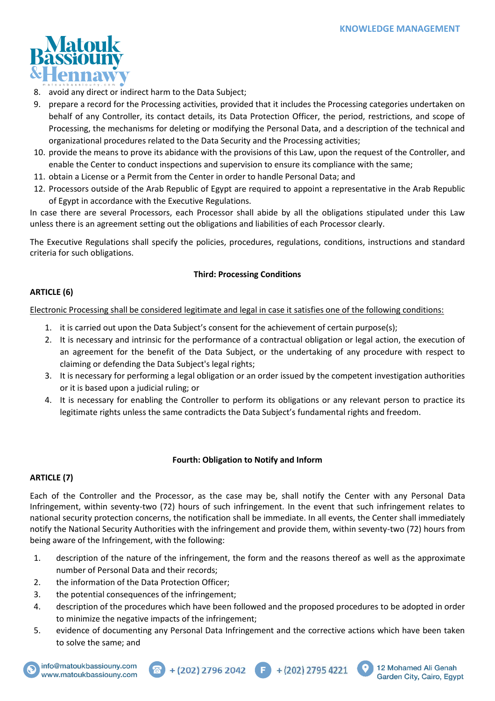

- 8. avoid any direct or indirect harm to the Data Subject;
- 9. prepare a record for the Processing activities, provided that it includes the Processing categories undertaken on behalf of any Controller, its contact details, its Data Protection Officer, the period, restrictions, and scope of Processing, the mechanisms for deleting or modifying the Personal Data, and a description of the technical and organizational procedures related to the Data Security and the Processing activities;
- 10. provide the means to prove its abidance with the provisions of this Law, upon the request of the Controller, and enable the Center to conduct inspections and supervision to ensure its compliance with the same;
- 11. obtain a License or a Permit from the Center in order to handle Personal Data; and
- 12. Processors outside of the Arab Republic of Egypt are required to appoint a representative in the Arab Republic of Egypt in accordance with the Executive Regulations.

In case there are several Processors, each Processor shall abide by all the obligations stipulated under this Law unless there is an agreement setting out the obligations and liabilities of each Processor clearly.

The Executive Regulations shall specify the policies, procedures, regulations, conditions, instructions and standard criteria for such obligations.

## **Third: Processing Conditions**

## **ARTICLE (6)**

Electronic Processing shall be considered legitimate and legal in case it satisfies one of the following conditions:

- 1. it is carried out upon the Data Subject's consent for the achievement of certain purpose(s);
- 2. It is necessary and intrinsic for the performance of a contractual obligation or legal action, the execution of an agreement for the benefit of the Data Subject, or the undertaking of any procedure with respect to claiming or defending the Data Subject's legal rights;
- 3. It is necessary for performing a legal obligation or an order issued by the competent investigation authorities or it is based upon a judicial ruling; or
- 4. It is necessary for enabling the Controller to perform its obligations or any relevant person to practice its legitimate rights unless the same contradicts the Data Subject's fundamental rights and freedom.

### **Fourth: Obligation to Notify and Inform**

## **ARTICLE (7)**

Each of the Controller and the Processor, as the case may be, shall notify the Center with any Personal Data Infringement, within seventy-two (72) hours of such infringement. In the event that such infringement relates to national security protection concerns, the notification shall be immediate. In all events, the Center shall immediately notify the National Security Authorities with the infringement and provide them, within seventy-two (72) hours from being aware of the Infringement, with the following:

- 1. description of the nature of the infringement, the form and the reasons thereof as well as the approximate number of Personal Data and their records;
- 2. the information of the Data Protection Officer;
- 3. the potential consequences of the infringement;
- 4. description of the procedures which have been followed and the proposed procedures to be adopted in order to minimize the negative impacts of the infringement;
- 5. evidence of documenting any Personal Data Infringement and the corrective actions which have been taken to solve the same; and

 $+(202)$  2796 2042  $\qquad \qquad \qquad + (202)$  2795 4221





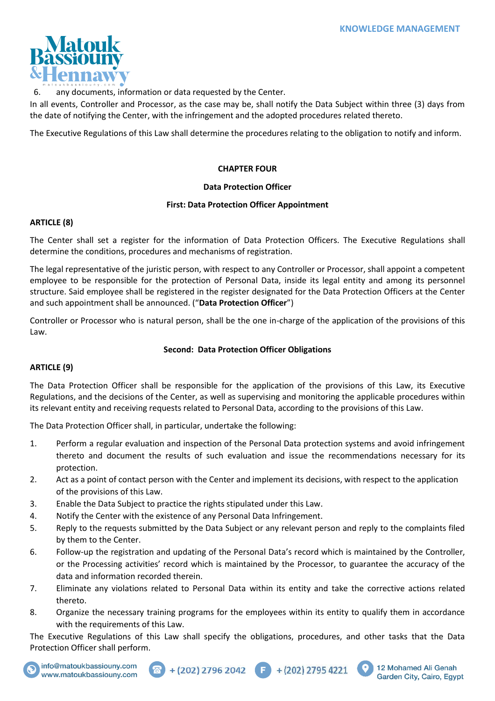

6. any documents, information or data requested by the Center.

In all events, Controller and Processor, as the case may be, shall notify the Data Subject within three (3) days from the date of notifying the Center, with the infringement and the adopted procedures related thereto.

The Executive Regulations of this Law shall determine the procedures relating to the obligation to notify and inform.

### **CHAPTER FOUR**

### **Data Protection Officer**

## **First: Data Protection Officer Appointment**

### **ARTICLE (8)**

The Center shall set a register for the information of Data Protection Officers. The Executive Regulations shall determine the conditions, procedures and mechanisms of registration.

The legal representative of the juristic person, with respect to any Controller or Processor, shall appoint a competent employee to be responsible for the protection of Personal Data, inside its legal entity and among its personnel structure. Said employee shall be registered in the register designated for the Data Protection Officers at the Center and such appointment shall be announced. ("**Data Protection Officer**")

Controller or Processor who is natural person, shall be the one in-charge of the application of the provisions of this Law.

## **Second: Data Protection Officer Obligations**

## **ARTICLE (9)**

The Data Protection Officer shall be responsible for the application of the provisions of this Law, its Executive Regulations, and the decisions of the Center, as well as supervising and monitoring the applicable procedures within its relevant entity and receiving requests related to Personal Data, according to the provisions of this Law.

The Data Protection Officer shall, in particular, undertake the following:

- 1. Perform a regular evaluation and inspection of the Personal Data protection systems and avoid infringement thereto and document the results of such evaluation and issue the recommendations necessary for its protection.
- 2. Act as a point of contact person with the Center and implement its decisions, with respect to the application of the provisions of this Law.
- 3. Enable the Data Subject to practice the rights stipulated under this Law.
- 4. Notify the Center with the existence of any Personal Data Infringement.
- 5. Reply to the requests submitted by the Data Subject or any relevant person and reply to the complaints filed by them to the Center.
- 6. Follow-up the registration and updating of the Personal Data's record which is maintained by the Controller, or the Processing activities' record which is maintained by the Processor, to guarantee the accuracy of the data and information recorded therein.
- 7. Eliminate any violations related to Personal Data within its entity and take the corrective actions related thereto.
- 8. Organize the necessary training programs for the employees within its entity to qualify them in accordance with the requirements of this Law.

The Executive Regulations of this Law shall specify the obligations, procedures, and other tasks that the Data Protection Officer shall perform.







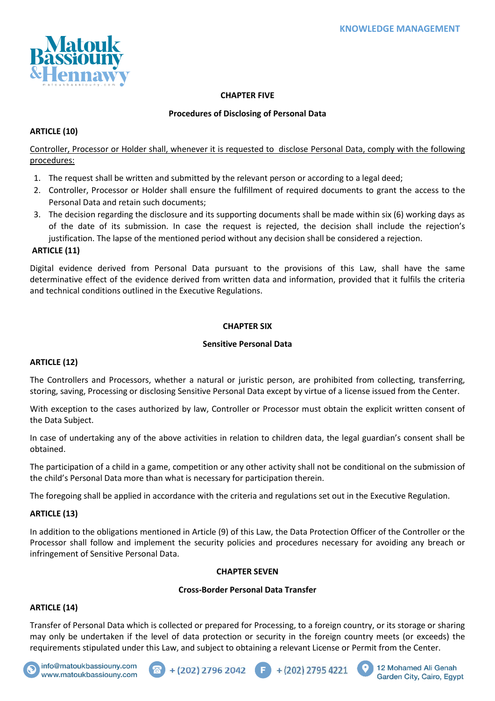

## **CHAPTER FIVE**

## **Procedures of Disclosing of Personal Data**

## **ARTICLE (10)**

Controller, Processor or Holder shall, whenever it is requested to disclose Personal Data, comply with the following procedures:

- 1. The request shall be written and submitted by the relevant person or according to a legal deed;
- 2. Controller, Processor or Holder shall ensure the fulfillment of required documents to grant the access to the Personal Data and retain such documents;
- 3. The decision regarding the disclosure and its supporting documents shall be made within six (6) working days as of the date of its submission. In case the request is rejected, the decision shall include the rejection's justification. The lapse of the mentioned period without any decision shall be considered a rejection.

## **ARTICLE (11)**

Digital evidence derived from Personal Data pursuant to the provisions of this Law, shall have the same determinative effect of the evidence derived from written data and information, provided that it fulfils the criteria and technical conditions outlined in the Executive Regulations.

### **CHAPTER SIX**

### **Sensitive Personal Data**

## **ARTICLE (12)**

The Controllers and Processors, whether a natural or juristic person, are prohibited from collecting, transferring, storing, saving, Processing or disclosing Sensitive Personal Data except by virtue of a license issued from the Center.

With exception to the cases authorized by law, Controller or Processor must obtain the explicit written consent of the Data Subject.

In case of undertaking any of the above activities in relation to children data, the legal guardian's consent shall be obtained.

The participation of a child in a game, competition or any other activity shall not be conditional on the submission of the child's Personal Data more than what is necessary for participation therein.

The foregoing shall be applied in accordance with the criteria and regulations set out in the Executive Regulation.

## **ARTICLE (13)**

In addition to the obligations mentioned in Article (9) of this Law, the Data Protection Officer of the Controller or the Processor shall follow and implement the security policies and procedures necessary for avoiding any breach or infringement of Sensitive Personal Data.

### **CHAPTER SEVEN**

### **Cross-Border Personal Data Transfer**

## **ARTICLE (14)**

Transfer of Personal Data which is collected or prepared for Processing, to a foreign country, or its storage or sharing may only be undertaken if the level of data protection or security in the foreign country meets (or exceeds) the requirements stipulated under this Law, and subject to obtaining a relevant License or Permit from the Center.

(F)









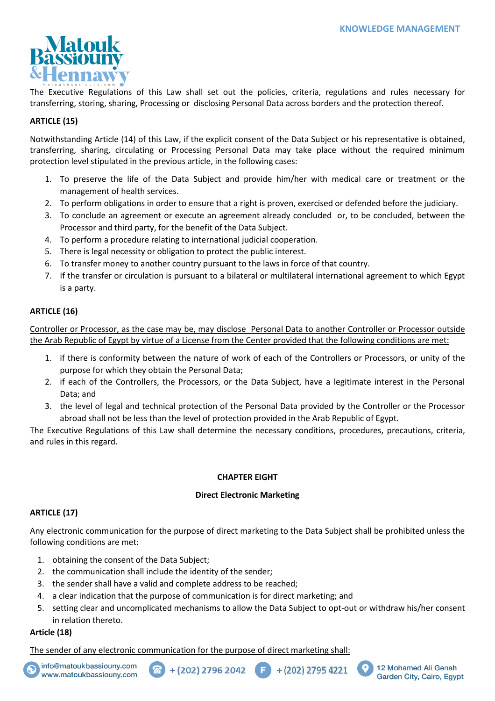

The Executive Regulations of this Law shall set out the policies, criteria, regulations and rules necessary for transferring, storing, sharing, Processing or disclosing Personal Data across borders and the protection thereof.

## **ARTICLE (15)**

Notwithstanding Article (14) of this Law, if the explicit consent of the Data Subject or his representative is obtained, transferring, sharing, circulating or Processing Personal Data may take place without the required minimum protection level stipulated in the previous article, in the following cases:

- 1. To preserve the life of the Data Subject and provide him/her with medical care or treatment or the management of health services.
- 2. To perform obligations in order to ensure that a right is proven, exercised or defended before the judiciary.
- 3. To conclude an agreement or execute an agreement already concluded or, to be concluded, between the Processor and third party, for the benefit of the Data Subject.
- 4. To perform a procedure relating to international judicial cooperation.
- 5. There is legal necessity or obligation to protect the public interest.
- 6. To transfer money to another country pursuant to the laws in force of that country.
- 7. If the transfer or circulation is pursuant to a bilateral or multilateral international agreement to which Egypt is a party.

## **ARTICLE (16)**

Controller or Processor, as the case may be, may disclose Personal Data to another Controller or Processor outside the Arab Republic of Egypt by virtue of a License from the Center provided that the following conditions are met:

- 1. if there is conformity between the nature of work of each of the Controllers or Processors, or unity of the purpose for which they obtain the Personal Data;
- 2. if each of the Controllers, the Processors, or the Data Subject, have a legitimate interest in the Personal Data; and
- 3. the level of legal and technical protection of the Personal Data provided by the Controller or the Processor abroad shall not be less than the level of protection provided in the Arab Republic of Egypt.

The Executive Regulations of this Law shall determine the necessary conditions, procedures, precautions, criteria, and rules in this regard.

## **CHAPTER EIGHT**

## **Direct Electronic Marketing**

## **ARTICLE (17)**

Any electronic communication for the purpose of direct marketing to the Data Subject shall be prohibited unless the following conditions are met:

- 1. obtaining the consent of the Data Subject;
- 2. the communication shall include the identity of the sender;
- 3. the sender shall have a valid and complete address to be reached;
- 4. a clear indication that the purpose of communication is for direct marketing; and
- 5. setting clear and uncomplicated mechanisms to allow the Data Subject to opt-out or withdraw his/her consent in relation thereto.

## **Article (18)**

The sender of any electronic communication for the purpose of direct marketing shall:





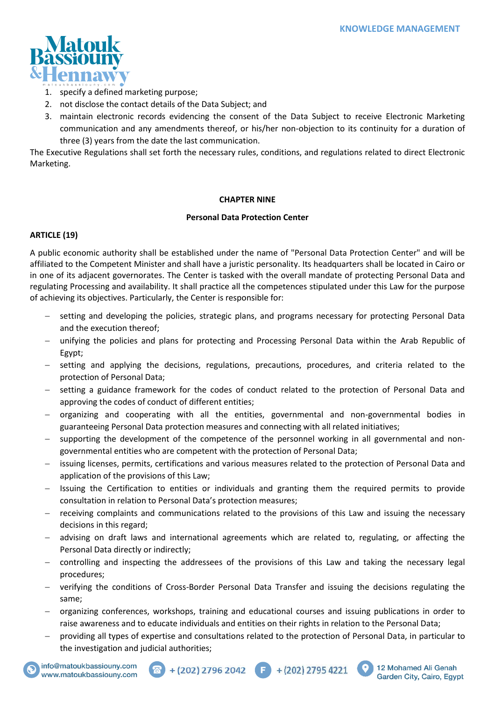

- 1. specify a defined marketing purpose;
- 2. not disclose the contact details of the Data Subject; and
- 3. maintain electronic records evidencing the consent of the Data Subject to receive Electronic Marketing communication and any amendments thereof, or his/her non-objection to its continuity for a duration of three (3) years from the date the last communication.

The Executive Regulations shall set forth the necessary rules, conditions, and regulations related to direct Electronic Marketing.

## **CHAPTER NINE**

## **Personal Data Protection Center**

## **ARTICLE (19)**

A public economic authority shall be established under the name of "Personal Data Protection Center" and will be affiliated to the Competent Minister and shall have a juristic personality. Its headquarters shall be located in Cairo or in one of its adjacent governorates. The Center is tasked with the overall mandate of protecting Personal Data and regulating Processing and availability. It shall practice all the competences stipulated under this Law for the purpose of achieving its objectives. Particularly, the Center is responsible for:

- − setting and developing the policies, strategic plans, and programs necessary for protecting Personal Data and the execution thereof;
- − unifying the policies and plans for protecting and Processing Personal Data within the Arab Republic of Egypt;
- − setting and applying the decisions, regulations, precautions, procedures, and criteria related to the protection of Personal Data;
- − setting a guidance framework for the codes of conduct related to the protection of Personal Data and approving the codes of conduct of different entities;
- − organizing and cooperating with all the entities, governmental and non-governmental bodies in guaranteeing Personal Data protection measures and connecting with all related initiatives;
- supporting the development of the competence of the personnel working in all governmental and nongovernmental entities who are competent with the protection of Personal Data;
- − issuing licenses, permits, certifications and various measures related to the protection of Personal Data and application of the provisions of this Law;
- − Issuing the Certification to entities or individuals and granting them the required permits to provide consultation in relation to Personal Data's protection measures;
- receiving complaints and communications related to the provisions of this Law and issuing the necessary decisions in this regard;
- − advising on draft laws and international agreements which are related to, regulating, or affecting the Personal Data directly or indirectly;
- − controlling and inspecting the addressees of the provisions of this Law and taking the necessary legal procedures;
- − verifying the conditions of Cross-Border Personal Data Transfer and issuing the decisions regulating the same;
- − organizing conferences, workshops, training and educational courses and issuing publications in order to raise awareness and to educate individuals and entities on their rights in relation to the Personal Data;
- − providing all types of expertise and consultations related to the protection of Personal Data, in particular to the investigation and judicial authorities;







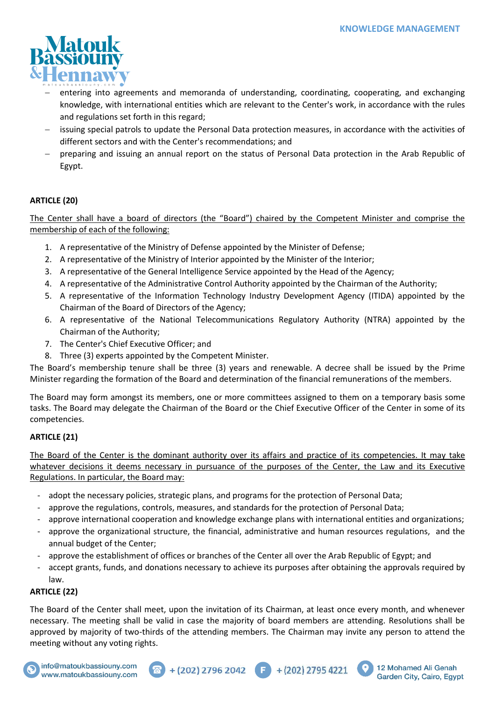

- entering into agreements and memoranda of understanding, coordinating, cooperating, and exchanging knowledge, with international entities which are relevant to the Center's work, in accordance with the rules and regulations set forth in this regard;
- issuing special patrols to update the Personal Data protection measures, in accordance with the activities of different sectors and with the Center's recommendations; and
- − preparing and issuing an annual report on the status of Personal Data protection in the Arab Republic of Egypt.

## **ARTICLE (20)**

The Center shall have a board of directors (the "Board") chaired by the Competent Minister and comprise the membership of each of the following:

- 1. A representative of the Ministry of Defense appointed by the Minister of Defense;
- 2. A representative of the Ministry of Interior appointed by the Minister of the Interior;
- 3. A representative of the General Intelligence Service appointed by the Head of the Agency;
- 4. A representative of the Administrative Control Authority appointed by the Chairman of the Authority;
- 5. A representative of the Information Technology Industry Development Agency (ITIDA) appointed by the Chairman of the Board of Directors of the Agency;
- 6. A representative of the National Telecommunications Regulatory Authority (NTRA) appointed by the Chairman of the Authority;
- 7. The Center's Chief Executive Officer; and
- 8. Three (3) experts appointed by the Competent Minister.

The Board's membership tenure shall be three (3) years and renewable. A decree shall be issued by the Prime Minister regarding the formation of the Board and determination of the financial remunerations of the members.

The Board may form amongst its members, one or more committees assigned to them on a temporary basis some tasks. The Board may delegate the Chairman of the Board or the Chief Executive Officer of the Center in some of its competencies.

## **ARTICLE (21)**

The Board of the Center is the dominant authority over its affairs and practice of its competencies. It may take whatever decisions it deems necessary in pursuance of the purposes of the Center, the Law and its Executive Regulations. In particular, the Board may:

- adopt the necessary policies, strategic plans, and programs for the protection of Personal Data;
- approve the regulations, controls, measures, and standards for the protection of Personal Data;
- approve international cooperation and knowledge exchange plans with international entities and organizations;
- approve the organizational structure, the financial, administrative and human resources regulations, and the annual budget of the Center;
- approve the establishment of offices or branches of the Center all over the Arab Republic of Egypt; and
- accept grants, funds, and donations necessary to achieve its purposes after obtaining the approvals required by law.

## **ARTICLE (22)**

The Board of the Center shall meet, upon the invitation of its Chairman, at least once every month, and whenever necessary. The meeting shall be valid in case the majority of board members are attending. Resolutions shall be approved by majority of two-thirds of the attending members. The Chairman may invite any person to attend the meeting without any voting rights.







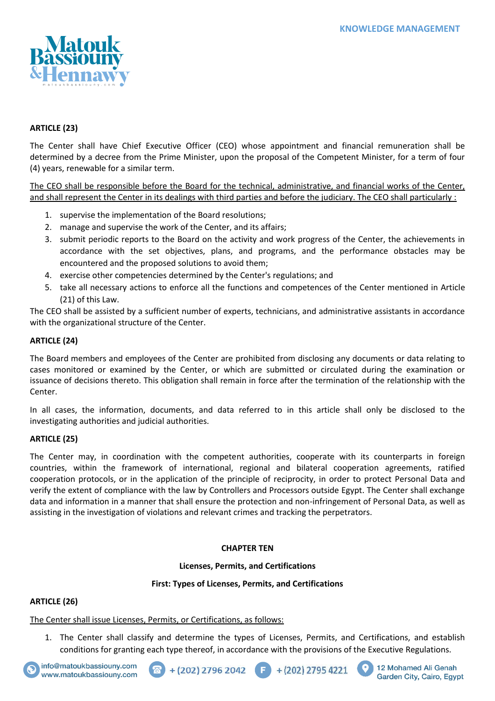

## **ARTICLE (23)**

The Center shall have Chief Executive Officer (CEO) whose appointment and financial remuneration shall be determined by a decree from the Prime Minister, upon the proposal of the Competent Minister, for a term of four (4) years, renewable for a similar term.

The CEO shall be responsible before the Board for the technical, administrative, and financial works of the Center, and shall represent the Center in its dealings with third parties and before the judiciary. The CEO shall particularly :

- 1. supervise the implementation of the Board resolutions;
- 2. manage and supervise the work of the Center, and its affairs;
- 3. submit periodic reports to the Board on the activity and work progress of the Center, the achievements in accordance with the set objectives, plans, and programs, and the performance obstacles may be encountered and the proposed solutions to avoid them;
- 4. exercise other competencies determined by the Center's regulations; and
- 5. take all necessary actions to enforce all the functions and competences of the Center mentioned in Article (21) of this Law.

The CEO shall be assisted by a sufficient number of experts, technicians, and administrative assistants in accordance with the organizational structure of the Center.

## **ARTICLE (24)**

The Board members and employees of the Center are prohibited from disclosing any documents or data relating to cases monitored or examined by the Center, or which are submitted or circulated during the examination or issuance of decisions thereto. This obligation shall remain in force after the termination of the relationship with the Center.

In all cases, the information, documents, and data referred to in this article shall only be disclosed to the investigating authorities and judicial authorities.

## **ARTICLE (25)**

The Center may, in coordination with the competent authorities, cooperate with its counterparts in foreign countries, within the framework of international, regional and bilateral cooperation agreements, ratified cooperation protocols, or in the application of the principle of reciprocity, in order to protect Personal Data and verify the extent of compliance with the law by Controllers and Processors outside Egypt. The Center shall exchange data and information in a manner that shall ensure the protection and non-infringement of Personal Data, as well as assisting in the investigation of violations and relevant crimes and tracking the perpetrators.

## **CHAPTER TEN**

### **Licenses, Permits, and Certifications**

### **First: Types of Licenses, Permits, and Certifications**

## **ARTICLE (26)**

The Center shall issue Licenses, Permits, or Certifications, as follows:

1. The Center shall classify and determine the types of Licenses, Permits, and Certifications, and establish conditions for granting each type thereof, in accordance with the provisions of the Executive Regulations.









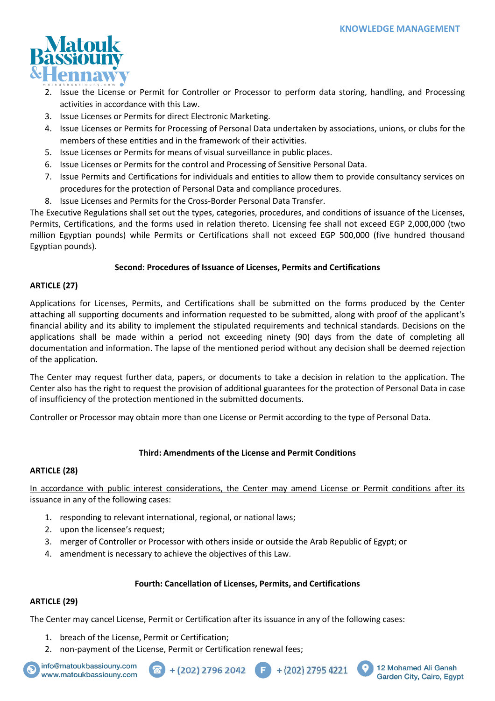

- 2. Issue the License or Permit for Controller or Processor to perform data storing, handling, and Processing activities in accordance with this Law.
- 3. Issue Licenses or Permits for direct Electronic Marketing.
- 4. Issue Licenses or Permits for Processing of Personal Data undertaken by associations, unions, or clubs for the members of these entities and in the framework of their activities.
- 5. Issue Licenses or Permits for means of visual surveillance in public places.
- 6. Issue Licenses or Permits for the control and Processing of Sensitive Personal Data.
- 7. Issue Permits and Certifications for individuals and entities to allow them to provide consultancy services on procedures for the protection of Personal Data and compliance procedures.
- 8. Issue Licenses and Permits for the Cross-Border Personal Data Transfer.

The Executive Regulations shall set out the types, categories, procedures, and conditions of issuance of the Licenses, Permits, Certifications, and the forms used in relation thereto. Licensing fee shall not exceed EGP 2,000,000 (two million Egyptian pounds) while Permits or Certifications shall not exceed EGP 500,000 (five hundred thousand Egyptian pounds).

## **Second: Procedures of Issuance of Licenses, Permits and Certifications**

## **ARTICLE (27)**

Applications for Licenses, Permits, and Certifications shall be submitted on the forms produced by the Center attaching all supporting documents and information requested to be submitted, along with proof of the applicant's financial ability and its ability to implement the stipulated requirements and technical standards. Decisions on the applications shall be made within a period not exceeding ninety (90) days from the date of completing all documentation and information. The lapse of the mentioned period without any decision shall be deemed rejection of the application.

The Center may request further data, papers, or documents to take a decision in relation to the application. The Center also has the right to request the provision of additional guarantees for the protection of Personal Data in case of insufficiency of the protection mentioned in the submitted documents.

Controller or Processor may obtain more than one License or Permit according to the type of Personal Data.

## **Third: Amendments of the License and Permit Conditions**

## **ARTICLE (28)**

In accordance with public interest considerations, the Center may amend License or Permit conditions after its issuance in any of the following cases:

- 1. responding to relevant international, regional, or national laws;
- 2. upon the licensee's request;
- 3. merger of Controller or Processor with others inside or outside the Arab Republic of Egypt; or
- 4. amendment is necessary to achieve the objectives of this Law.

### **Fourth: Cancellation of Licenses, Permits, and Certifications**

Œ

### **ARTICLE (29)**

The Center may cancel License, Permit or Certification after its issuance in any of the following cases:

- 1. breach of the License, Permit or Certification;
- 2. non-payment of the License, Permit or Certification renewal fees;



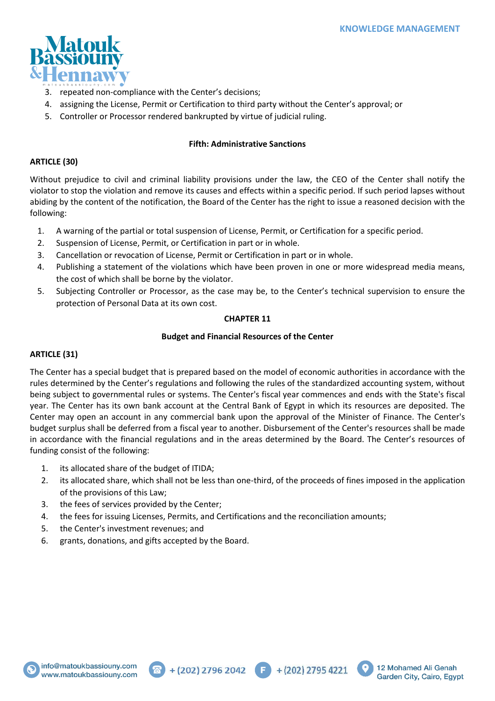

- 3. repeated non-compliance with the Center's decisions;
- 4. assigning the License, Permit or Certification to third party without the Center's approval; or
- 5. Controller or Processor rendered bankrupted by virtue of judicial ruling.

## **Fifth: Administrative Sanctions**

## **ARTICLE (30)**

Without prejudice to civil and criminal liability provisions under the law, the CEO of the Center shall notify the violator to stop the violation and remove its causes and effects within a specific period. If such period lapses without abiding by the content of the notification, the Board of the Center has the right to issue a reasoned decision with the following:

- 1. A warning of the partial or total suspension of License, Permit, or Certification for a specific period.
- 2. Suspension of License, Permit, or Certification in part or in whole.
- 3. Cancellation or revocation of License, Permit or Certification in part or in whole.
- 4. Publishing a statement of the violations which have been proven in one or more widespread media means, the cost of which shall be borne by the violator.
- 5. Subjecting Controller or Processor, as the case may be, to the Center's technical supervision to ensure the protection of Personal Data at its own cost.

## **CHAPTER 11**

### **Budget and Financial Resources of the Center**

## **ARTICLE (31)**

The Center has a special budget that is prepared based on the model of economic authorities in accordance with the rules determined by the Center's regulations and following the rules of the standardized accounting system, without being subject to governmental rules or systems. The Center's fiscal year commences and ends with the State's fiscal year. The Center has its own bank account at the Central Bank of Egypt in which its resources are deposited. The Center may open an account in any commercial bank upon the approval of the Minister of Finance. The Center's budget surplus shall be deferred from a fiscal year to another. Disbursement of the Center's resources shall be made in accordance with the financial regulations and in the areas determined by the Board. The Center's resources of funding consist of the following:

- 1. its allocated share of the budget of ITIDA;
- 2. its allocated share, which shall not be less than one-third, of the proceeds of fines imposed in the application of the provisions of this Law;
- 3. the fees of services provided by the Center;
- 4. the fees for issuing Licenses, Permits, and Certifications and the reconciliation amounts;
- 5. the Center's investment revenues; and
- 6. grants, donations, and gifts accepted by the Board.





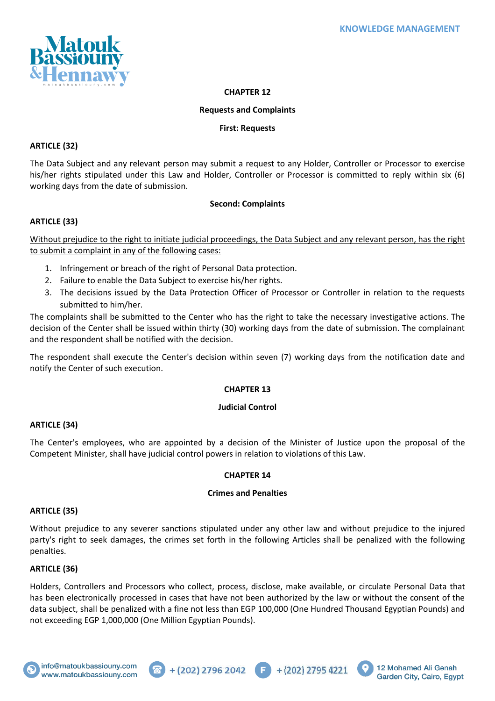

## **CHAPTER 12**

#### **Requests and Complaints**

### **First: Requests**

### **ARTICLE (32)**

The Data Subject and any relevant person may submit a request to any Holder, Controller or Processor to exercise his/her rights stipulated under this Law and Holder, Controller or Processor is committed to reply within six (6) working days from the date of submission.

### **Second: Complaints**

## **ARTICLE (33)**

Without prejudice to the right to initiate judicial proceedings, the Data Subject and any relevant person, has the right to submit a complaint in any of the following cases:

- 1. Infringement or breach of the right of Personal Data protection.
- 2. Failure to enable the Data Subject to exercise his/her rights.
- 3. The decisions issued by the Data Protection Officer of Processor or Controller in relation to the requests submitted to him/her.

The complaints shall be submitted to the Center who has the right to take the necessary investigative actions. The decision of the Center shall be issued within thirty (30) working days from the date of submission. The complainant and the respondent shall be notified with the decision.

The respondent shall execute the Center's decision within seven (7) working days from the notification date and notify the Center of such execution.

### **CHAPTER 13**

### **Judicial Control**

### **ARTICLE (34)**

The Center's employees, who are appointed by a decision of the Minister of Justice upon the proposal of the Competent Minister, shall have judicial control powers in relation to violations of this Law.

### **CHAPTER 14**

### **Crimes and Penalties**

### **ARTICLE (35)**

Without prejudice to any severer sanctions stipulated under any other law and without prejudice to the injured party's right to seek damages, the crimes set forth in the following Articles shall be penalized with the following penalties.

### **ARTICLE (36)**

Holders, Controllers and Processors who collect, process, disclose, make available, or circulate Personal Data that has been electronically processed in cases that have not been authorized by the law or without the consent of the data subject, shall be penalized with a fine not less than EGP 100,000 (One Hundred Thousand Egyptian Pounds) and not exceeding EGP 1,000,000 (One Million Egyptian Pounds).



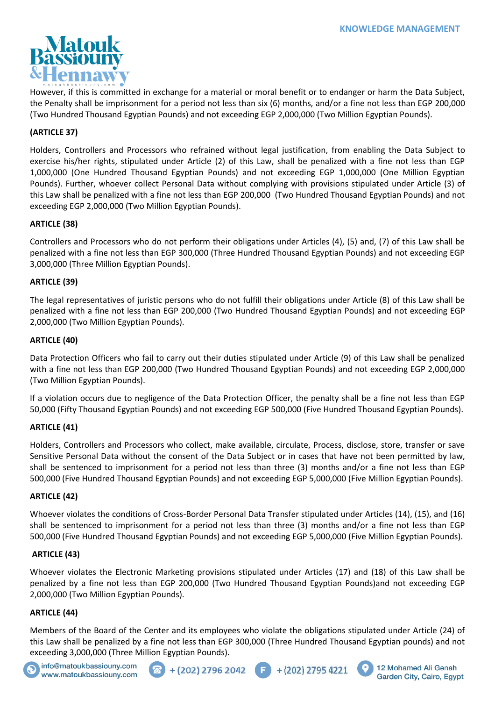

However, if this is committed in exchange for a material or moral benefit or to endanger or harm the Data Subject, the Penalty shall be imprisonment for a period not less than six (6) months, and/or a fine not less than EGP 200,000 (Two Hundred Thousand Egyptian Pounds) and not exceeding EGP 2,000,000 (Two Million Egyptian Pounds).

## **(ARTICLE 37)**

Holders, Controllers and Processors who refrained without legal justification, from enabling the Data Subject to exercise his/her rights, stipulated under Article (2) of this Law, shall be penalized with a fine not less than EGP 1,000,000 (One Hundred Thousand Egyptian Pounds) and not exceeding EGP 1,000,000 (One Million Egyptian Pounds). Further, whoever collect Personal Data without complying with provisions stipulated under Article (3) of this Law shall be penalized with a fine not less than EGP 200,000 (Two Hundred Thousand Egyptian Pounds) and not exceeding EGP 2,000,000 (Two Million Egyptian Pounds).

## **ARTICLE (38)**

Controllers and Processors who do not perform their obligations under Articles (4), (5) and, (7) of this Law shall be penalized with a fine not less than EGP 300,000 (Three Hundred Thousand Egyptian Pounds) and not exceeding EGP 3,000,000 (Three Million Egyptian Pounds).

## **ARTICLE (39)**

The legal representatives of juristic persons who do not fulfill their obligations under Article (8) of this Law shall be penalized with a fine not less than EGP 200,000 (Two Hundred Thousand Egyptian Pounds) and not exceeding EGP 2,000,000 (Two Million Egyptian Pounds).

## **ARTICLE (40)**

Data Protection Officers who fail to carry out their duties stipulated under Article (9) of this Law shall be penalized with a fine not less than EGP 200,000 (Two Hundred Thousand Egyptian Pounds) and not exceeding EGP 2,000,000 (Two Million Egyptian Pounds).

If a violation occurs due to negligence of the Data Protection Officer, the penalty shall be a fine not less than EGP 50,000 (Fifty Thousand Egyptian Pounds) and not exceeding EGP 500,000 (Five Hundred Thousand Egyptian Pounds).

### **ARTICLE (41)**

Holders, Controllers and Processors who collect, make available, circulate, Process, disclose, store, transfer or save Sensitive Personal Data without the consent of the Data Subject or in cases that have not been permitted by law, shall be sentenced to imprisonment for a period not less than three (3) months and/or a fine not less than EGP 500,000 (Five Hundred Thousand Egyptian Pounds) and not exceeding EGP 5,000,000 (Five Million Egyptian Pounds).

## **ARTICLE (42)**

Whoever violates the conditions of Cross-Border Personal Data Transfer stipulated under Articles (14), (15), and (16) shall be sentenced to imprisonment for a period not less than three (3) months and/or a fine not less than EGP 500,000 (Five Hundred Thousand Egyptian Pounds) and not exceeding EGP 5,000,000 (Five Million Egyptian Pounds).

### **ARTICLE (43)**

Whoever violates the Electronic Marketing provisions stipulated under Articles (17) and (18) of this Law shall be penalized by a fine not less than EGP 200,000 (Two Hundred Thousand Egyptian Pounds)and not exceeding EGP 2,000,000 (Two Million Egyptian Pounds).

## **ARTICLE (44)**

Members of the Board of the Center and its employees who violate the obligations stipulated under Article (24) of this Law shall be penalized by a fine not less than EGP 300,000 (Three Hundred Thousand Egyptian pounds) and not exceeding 3,000,000 (Three Million Egyptian Pounds).